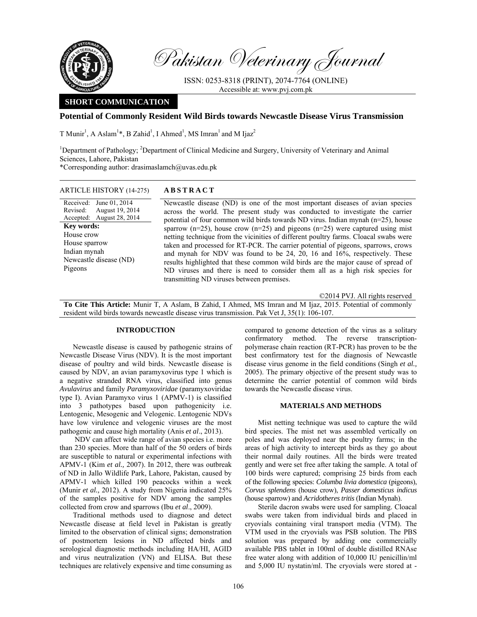

Pakistan Veterinary Journal

ISSN: 0253-8318 (PRINT), 2074-7764 (ONLINE) Accessible at: www.pvj.com.pk

# **SHORT COMMUNICATION**

## **Potential of Commonly Resident Wild Birds towards Newcastle Disease Virus Transmission**

T Munir<sup>1</sup>, A Aslam<sup>1</sup>\*, B Zahid<sup>1</sup>, I Ahmed<sup>1</sup>, MS Imran<sup>1</sup> and M Ijaz<sup>2</sup>

<sup>1</sup>Department of Pathology; <sup>2</sup>Department of Clinical Medicine and Surgery, University of Veterinary and Animal Sciences, Lahore, Pakistan \*Corresponding author: drasimaslamch@uvas.edu.pk

## ARTICLE HISTORY (14-275) **ABSTRACT**

Received: June 01, 2014 Revised: Accepted: August 28, 2014 August 19, 2014 Newcastle disease (ND) is one of the most important diseases of avian species across the world. The present study was conducted to investigate the carrier potential of four common wild birds towards ND virus. Indian mynah (n=25), house sparrow ( $n=25$ ), house crow ( $n=25$ ) and pigeons ( $n=25$ ) were captured using mist netting technique from the vicinities of different poultry farms. Cloacal swabs were taken and processed for RT-PCR. The carrier potential of pigeons, sparrows, crows and mynah for NDV was found to be 24, 20, 16 and 16%, respectively. These results highlighted that these common wild birds are the major cause of spread of ND viruses and there is need to consider them all as a high risk species for transmitting ND viruses between premises. **Key words:**  House crow House sparrow Indian mynah Newcastle disease (ND) Pigeons

©2014 PVJ. All rights reserved

**To Cite This Article:** Munir T, A Aslam, B Zahid, I Ahmed, MS Imran and M Ijaz, 2015. Potential of commonly resident wild birds towards newcastle disease virus transmission. Pak Vet J, 35(1): 106-107.

# **INTRODUCTION**

Newcastle disease is caused by pathogenic strains of Newcastle Disease Virus (NDV). It is the most important disease of poultry and wild birds. Newcastle disease is caused by NDV, an avian paramyxovirus type 1 which is a negative stranded RNA virus, classified into genus *Avulavirus* and family *Paramyxoviridae* (paramyxoviridae type I). Avian Paramyxo virus 1 (APMV-1) is classified into 3 pathotypes based upon pathogenicity i.e. Lentogenic, Mesogenic and Velogenic. Lentogenic NDVs have low virulence and velogenic viruses are the most pathogenic and cause high mortality (Anis *et al*., 2013).

 NDV can affect wide range of avian species i.e. more than 230 species. More than half of the 50 orders of birds are susceptible to natural or experimental infections with APMV-1 (Kim *et al.,* 2007). In 2012, there was outbreak of ND in Jallo Wildlife Park, Lahore, Pakistan, caused by APMV-1 which killed 190 peacocks within a week (Munir *et al.,* 2012). A study from Nigeria indicated 25% of the samples positive for NDV among the samples collected from crow and sparrows (Ibu *et al*., 2009).

Traditional methods used to diagnose and detect Newcastle disease at field level in Pakistan is greatly limited to the observation of clinical signs; demonstration of postmortem lesions in ND affected birds and serological diagnostic methods including HA/HI, AGID and virus neutralization (VN) and ELISA. But these techniques are relatively expensive and time consuming as compared to genome detection of the virus as a solitary confirmatory method. The reverse transcriptionpolymerase chain reaction (RT-PCR) has proven to be the best confirmatory test for the diagnosis of Newcastle disease virus genome in the field conditions (Singh *et al.,* 2005). The primary objective of the present study was to determine the carrier potential of common wild birds towards the Newcastle disease virus.

#### **MATERIALS AND METHODS**

Mist netting technique was used to capture the wild bird species. The mist net was assembled vertically on poles and was deployed near the poultry farms; in the areas of high activity to intercept birds as they go about their normal daily routines. All the birds were treated gently and were set free after taking the sample. A total of 100 birds were captured; comprising 25 birds from each of the following species: *Columba livia domestica* (pigeons), *Corvus splendens* (house crow), *Passer domesticus indicus* (house sparrow) and *Acridotheres tritis* (Indian Mynah).

Sterile dacron swabs were used for sampling. Cloacal swabs were taken from individual birds and placed in cryovials containing viral transport media (VTM). The VTM used in the cryovials was PSB solution. The PBS solution was prepared by adding one commercially available PBS tablet in 100ml of double distilled RNAse free water along with addition of 10,000 IU penicillin/ml and 5,000 IU nystatin/ml. The cryovials were stored at -